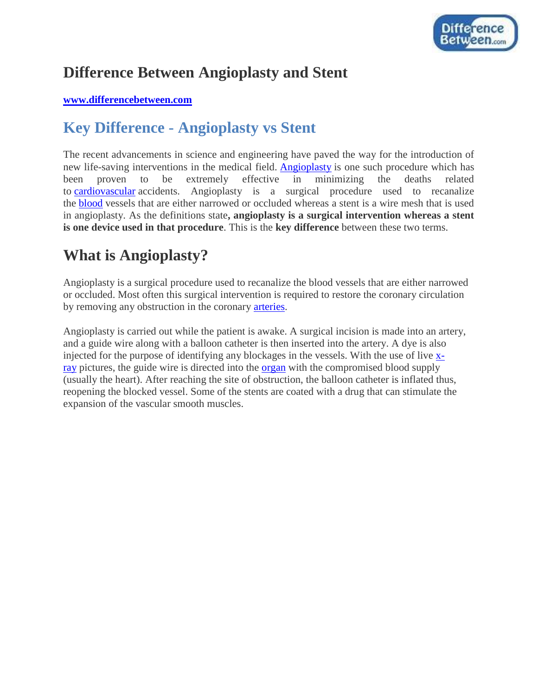

## **Difference Between Angioplasty and Stent**

#### **[www.differencebetween.com](http://www.differencebetween.com/)**

## **Key Difference - Angioplasty vs Stent**

The recent advancements in science and engineering have paved the way for the introduction of new life-saving interventions in the medical field. [Angioplasty](http://www.differencebetween.com/difference-between-angiogram-and-angioplasty/) is one such procedure which has been proven to be extremely effective in minimizing the deaths related to [cardiovascular](http://www.differencebetween.com/difference-between-cardiovascular-and-vs-circulatory-system/) accidents. Angioplasty is a surgical procedure used to recanalize the [blood](http://www.differencebetween.com/difference-between-blood-and-vs-plasma/) vessels that are either narrowed or occluded whereas a stent is a wire mesh that is used in angioplasty. As the definitions state**, angioplasty is a surgical intervention whereas a stent is one device used in that procedure**. This is the **key difference** between these two terms.

## **What is Angioplasty?**

Angioplasty is a surgical procedure used to recanalize the blood vessels that are either narrowed or occluded. Most often this surgical intervention is required to restore the coronary circulation by removing any obstruction in the coronary [arteries.](http://www.differencebetween.com/difference-between-arteries-and-vs-arterioles/#Arteries)

Angioplasty is carried out while the patient is awake. A surgical incision is made into an artery, and a guide wire along with a balloon catheter is then inserted into the artery. A dye is also injected for the purpose of identifying any blockages in the vessels. With the use of live [x](http://www.differencebetween.com/difference-between-ct-scan-and-vs-x-ray/)[ray](http://www.differencebetween.com/difference-between-ct-scan-and-vs-x-ray/) pictures, the guide wire is directed into the [organ](http://www.differencebetween.com/difference-between%c2%a0organ-and-organelle/) with the compromised blood supply (usually the heart). After reaching the site of obstruction, the balloon catheter is inflated thus, reopening the blocked vessel. Some of the stents are coated with a drug that can stimulate the expansion of the vascular smooth muscles.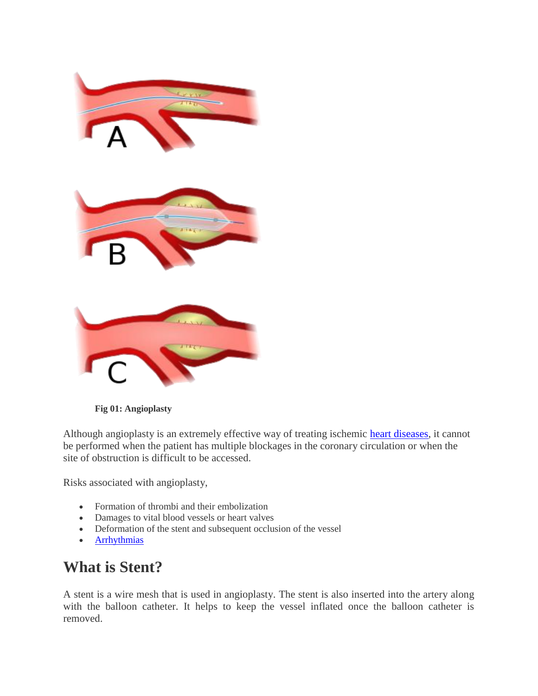

**Fig 01: Angioplasty**

Although angioplasty is an extremely effective way of treating ischemic [heart diseases,](http://www.differencebetween.com/difference-between-coronary-heart-disease-and-cardiovascular-disease/) it cannot be performed when the patient has multiple blockages in the coronary circulation or when the site of obstruction is difficult to be accessed.

Risks associated with angioplasty,

- Formation of thrombi and their embolization
- Damages to vital blood vessels or heart valves
- Deformation of the stent and subsequent occlusion of the vessel
- **[Arrhythmias](http://www.differencebetween.com/difference-between-arrhythmia-and-dysrhythmia/)**

## **What is Stent?**

A stent is a wire mesh that is used in angioplasty. The stent is also inserted into the artery along with the balloon catheter. It helps to keep the vessel inflated once the balloon catheter is removed.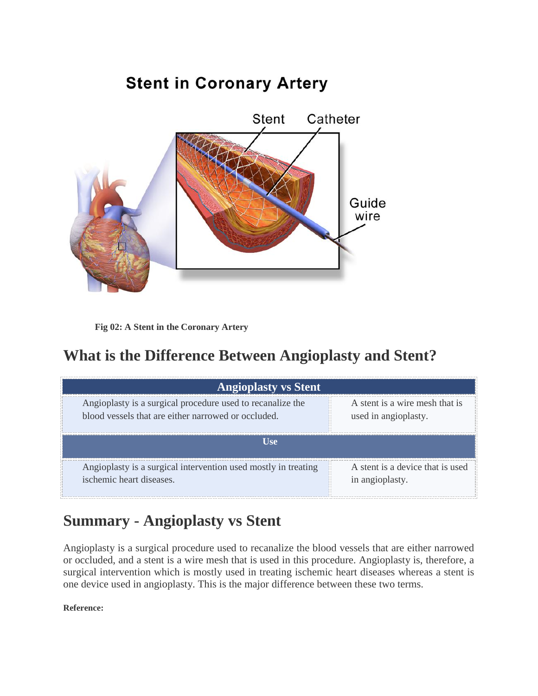# **Stent in Coronary Artery**



**Fig 02: A Stent in the Coronary Artery**

## **What is the Difference Between Angioplasty and Stent?**

| <b>Angioplasty vs Stent</b>                                    |                                  |
|----------------------------------------------------------------|----------------------------------|
| Angioplasty is a surgical procedure used to recanalize the     | A stent is a wire mesh that is   |
| blood vessels that are either narrowed or occluded.            | used in angioplasty.             |
| <b>Use</b>                                                     |                                  |
| Angioplasty is a surgical intervention used mostly in treating | A stent is a device that is used |
| ischemic heart diseases.                                       | in angioplasty.                  |

## **Summary - Angioplasty vs Stent**

Angioplasty is a surgical procedure used to recanalize the blood vessels that are either narrowed or occluded, and a stent is a wire mesh that is used in this procedure. Angioplasty is, therefore, a surgical intervention which is mostly used in treating ischemic heart diseases whereas a stent is one device used in angioplasty. This is the major difference between these two terms.

**Reference:**